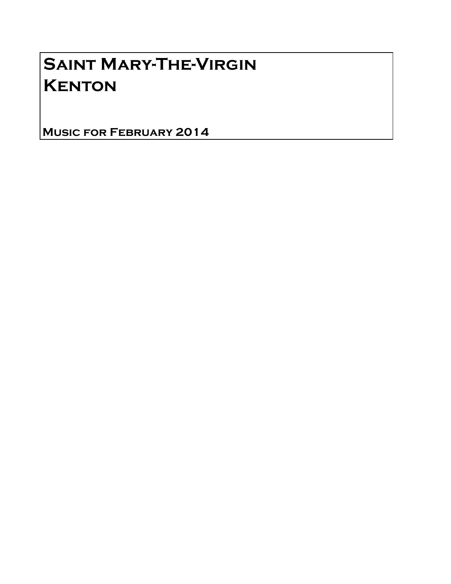## Saint Mary-The-Virgin **KENTON**

Music for February 2014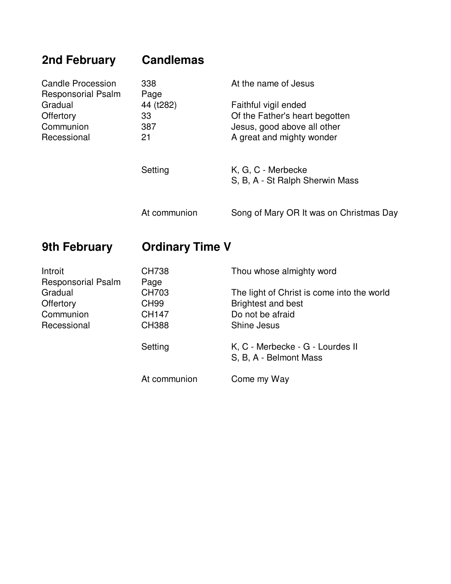| 2nd February                                          | <b>Candlemas</b>       |                                                               |
|-------------------------------------------------------|------------------------|---------------------------------------------------------------|
| <b>Candle Procession</b><br><b>Responsorial Psalm</b> | 338<br>Page            | At the name of Jesus                                          |
| Gradual                                               | 44 (t282)              | Faithful vigil ended                                          |
| Offertory<br>Communion                                | 33<br>387              | Of the Father's heart begotten<br>Jesus, good above all other |
| Recessional                                           | 21                     | A great and mighty wonder                                     |
|                                                       |                        |                                                               |
|                                                       | Setting                | K, G, C - Merbecke<br>S, B, A - St Ralph Sherwin Mass         |
|                                                       |                        |                                                               |
|                                                       | At communion           | Song of Mary OR It was on Christmas Day                       |
|                                                       |                        |                                                               |
| <b>9th February</b>                                   | <b>Ordinary Time V</b> |                                                               |
| Introit                                               | <b>CH738</b>           | Thou whose almighty word                                      |
| <b>Responsorial Psalm</b><br>Gradual                  | Page<br><b>CH703</b>   | The light of Christ is come into the world                    |
| Offertory                                             | <b>CH99</b>            | <b>Brightest and best</b>                                     |
| Communion                                             | <b>CH147</b>           | Do not be afraid                                              |
| Recessional                                           | <b>CH388</b>           | Shine Jesus                                                   |
|                                                       | Setting                | K, C - Merbecke - G - Lourdes II                              |
|                                                       |                        | S, B, A - Belmont Mass                                        |
|                                                       | At communion           | Come my Way                                                   |